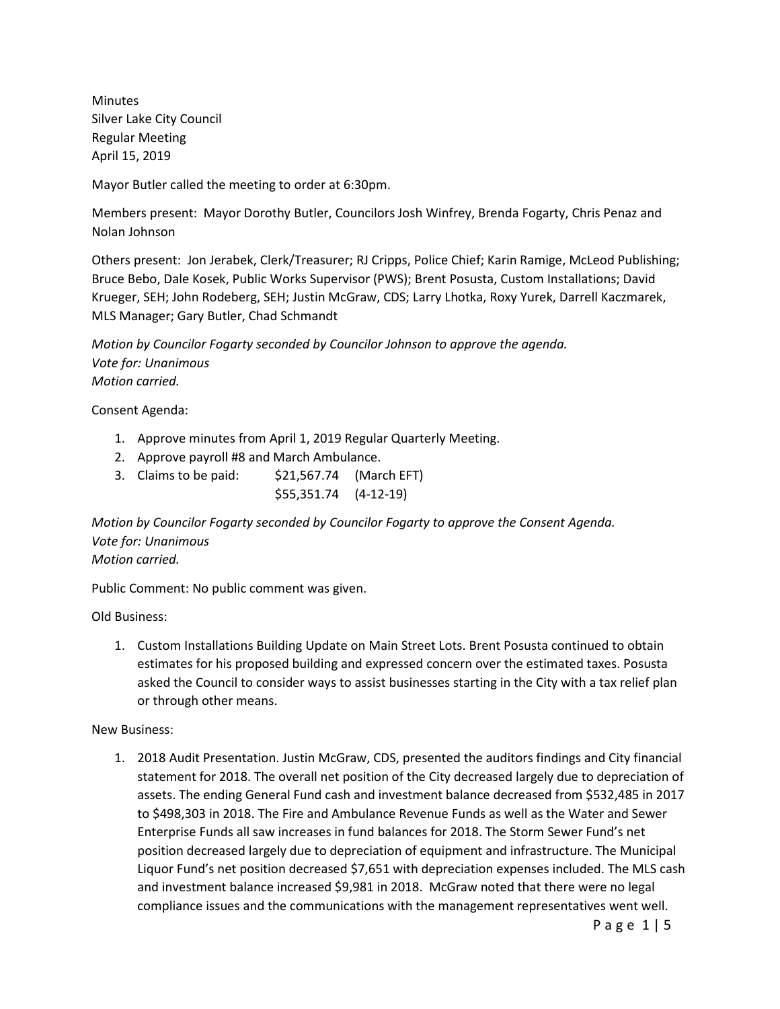Minutes Silver Lake City Council Regular Meeting April 15, 2019

Mayor Butler called the meeting to order at 6:30pm.

Members present: Mayor Dorothy Butler, Councilors Josh Winfrey, Brenda Fogarty, Chris Penaz and Nolan Johnson

Others present: Jon Jerabek, Clerk/Treasurer; RJ Cripps, Police Chief; Karin Ramige, McLeod Publishing; Bruce Bebo, Dale Kosek, Public Works Supervisor (PWS); Brent Posusta, Custom Installations; David Krueger, SEH; John Rodeberg, SEH; Justin McGraw, CDS; Larry Lhotka, Roxy Yurek, Darrell Kaczmarek, MLS Manager; Gary Butler, Chad Schmandt

*Motion by Councilor Fogarty seconded by Councilor Johnson to approve the agenda. Vote for: Unanimous Motion carried.*

Consent Agenda:

- 1. Approve minutes from April 1, 2019 Regular Quarterly Meeting.
- 2. Approve payroll #8 and March Ambulance.
- 3. Claims to be paid: \$21,567.74 (March EFT) \$55,351.74 (4-12-19)

*Motion by Councilor Fogarty seconded by Councilor Fogarty to approve the Consent Agenda. Vote for: Unanimous Motion carried.*

Public Comment: No public comment was given.

Old Business:

1. Custom Installations Building Update on Main Street Lots. Brent Posusta continued to obtain estimates for his proposed building and expressed concern over the estimated taxes. Posusta asked the Council to consider ways to assist businesses starting in the City with a tax relief plan or through other means.

New Business:

1. 2018 Audit Presentation. Justin McGraw, CDS, presented the auditors findings and City financial statement for 2018. The overall net position of the City decreased largely due to depreciation of assets. The ending General Fund cash and investment balance decreased from \$532,485 in 2017 to \$498,303 in 2018. The Fire and Ambulance Revenue Funds as well as the Water and Sewer Enterprise Funds all saw increases in fund balances for 2018. The Storm Sewer Fund's net position decreased largely due to depreciation of equipment and infrastructure. The Municipal Liquor Fund's net position decreased \$7,651 with depreciation expenses included. The MLS cash and investment balance increased \$9,981 in 2018. McGraw noted that there were no legal compliance issues and the communications with the management representatives went well.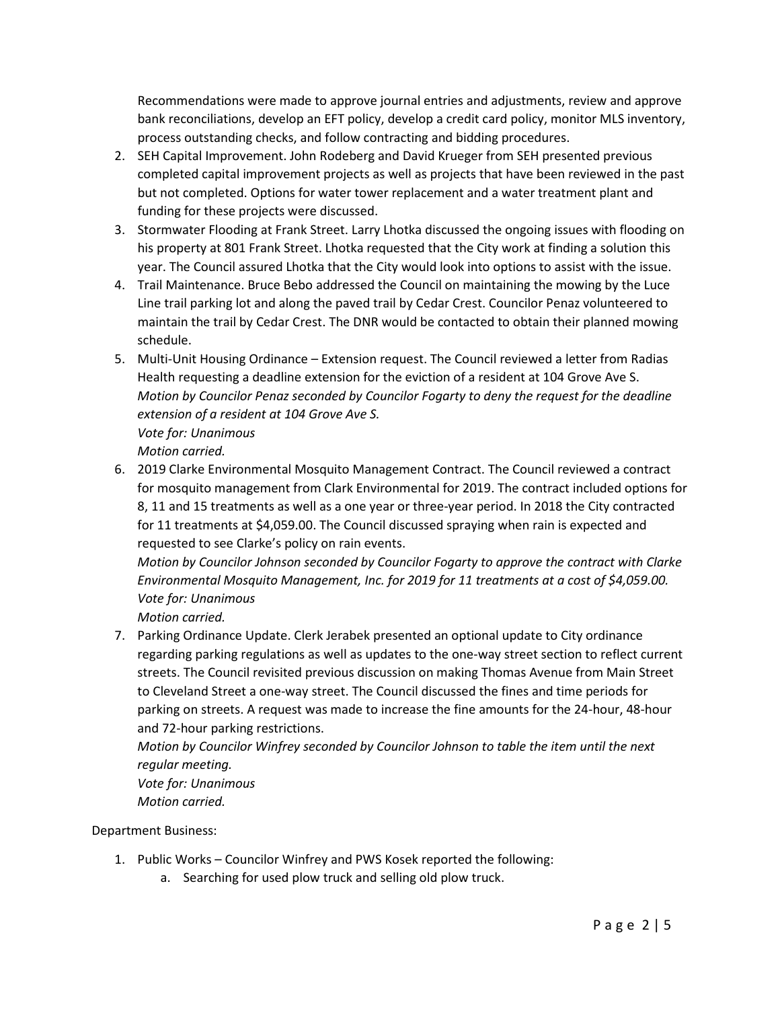Recommendations were made to approve journal entries and adjustments, review and approve bank reconciliations, develop an EFT policy, develop a credit card policy, monitor MLS inventory, process outstanding checks, and follow contracting and bidding procedures.

- 2. SEH Capital Improvement. John Rodeberg and David Krueger from SEH presented previous completed capital improvement projects as well as projects that have been reviewed in the past but not completed. Options for water tower replacement and a water treatment plant and funding for these projects were discussed.
- 3. Stormwater Flooding at Frank Street. Larry Lhotka discussed the ongoing issues with flooding on his property at 801 Frank Street. Lhotka requested that the City work at finding a solution this year. The Council assured Lhotka that the City would look into options to assist with the issue.
- 4. Trail Maintenance. Bruce Bebo addressed the Council on maintaining the mowing by the Luce Line trail parking lot and along the paved trail by Cedar Crest. Councilor Penaz volunteered to maintain the trail by Cedar Crest. The DNR would be contacted to obtain their planned mowing schedule.
- 5. Multi-Unit Housing Ordinance Extension request. The Council reviewed a letter from Radias Health requesting a deadline extension for the eviction of a resident at 104 Grove Ave S. *Motion by Councilor Penaz seconded by Councilor Fogarty to deny the request for the deadline extension of a resident at 104 Grove Ave S.*

*Vote for: Unanimous Motion carried.*

6. 2019 Clarke Environmental Mosquito Management Contract. The Council reviewed a contract for mosquito management from Clark Environmental for 2019. The contract included options for 8, 11 and 15 treatments as well as a one year or three-year period. In 2018 the City contracted for 11 treatments at \$4,059.00. The Council discussed spraying when rain is expected and requested to see Clarke's policy on rain events.

*Motion by Councilor Johnson seconded by Councilor Fogarty to approve the contract with Clarke Environmental Mosquito Management, Inc. for 2019 for 11 treatments at a cost of \$4,059.00. Vote for: Unanimous*

*Motion carried.*

7. Parking Ordinance Update. Clerk Jerabek presented an optional update to City ordinance regarding parking regulations as well as updates to the one-way street section to reflect current streets. The Council revisited previous discussion on making Thomas Avenue from Main Street to Cleveland Street a one-way street. The Council discussed the fines and time periods for parking on streets. A request was made to increase the fine amounts for the 24-hour, 48-hour and 72-hour parking restrictions.

*Motion by Councilor Winfrey seconded by Councilor Johnson to table the item until the next regular meeting.*

*Vote for: Unanimous*

*Motion carried.*

Department Business:

- 1. Public Works Councilor Winfrey and PWS Kosek reported the following:
	- a. Searching for used plow truck and selling old plow truck.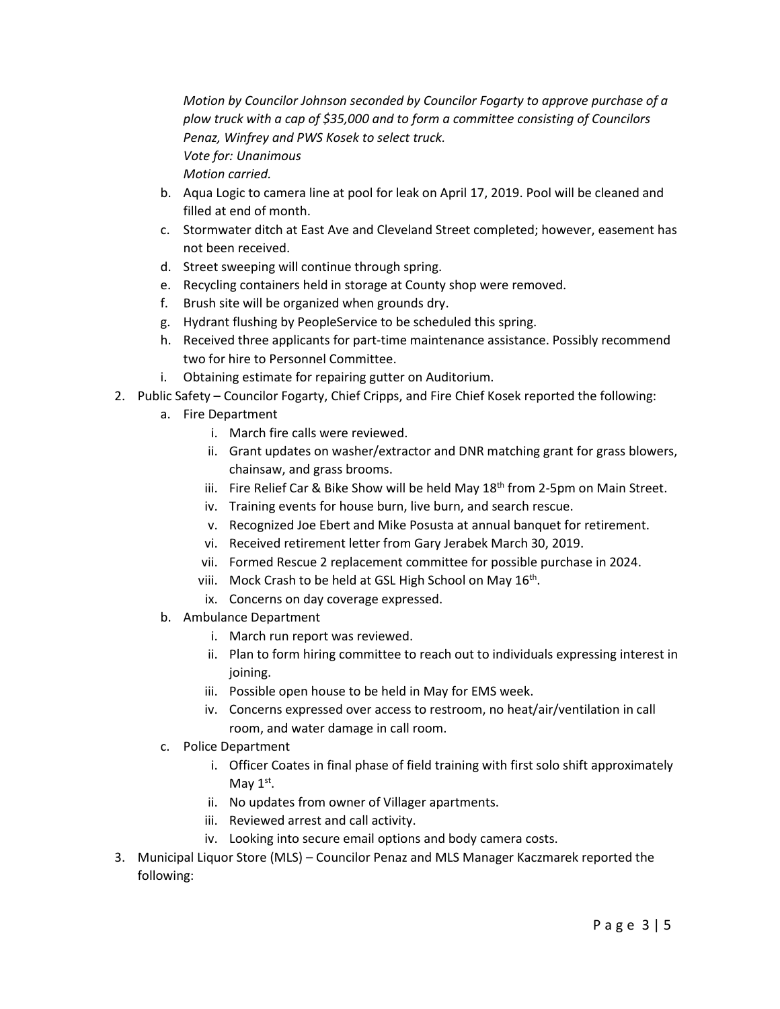*Motion by Councilor Johnson seconded by Councilor Fogarty to approve purchase of a plow truck with a cap of \$35,000 and to form a committee consisting of Councilors Penaz, Winfrey and PWS Kosek to select truck. Vote for: Unanimous Motion carried.*

- b. Aqua Logic to camera line at pool for leak on April 17, 2019. Pool will be cleaned and filled at end of month.
- c. Stormwater ditch at East Ave and Cleveland Street completed; however, easement has not been received.
- d. Street sweeping will continue through spring.
- e. Recycling containers held in storage at County shop were removed.
- f. Brush site will be organized when grounds dry.
- g. Hydrant flushing by PeopleService to be scheduled this spring.
- h. Received three applicants for part-time maintenance assistance. Possibly recommend two for hire to Personnel Committee.
- i. Obtaining estimate for repairing gutter on Auditorium.
- 2. Public Safety Councilor Fogarty, Chief Cripps, and Fire Chief Kosek reported the following:
	- a. Fire Department
		- i. March fire calls were reviewed.
		- ii. Grant updates on washer/extractor and DNR matching grant for grass blowers, chainsaw, and grass brooms.
		- iii. Fire Relief Car & Bike Show will be held May  $18<sup>th</sup>$  from 2-5pm on Main Street.
		- iv. Training events for house burn, live burn, and search rescue.
		- v. Recognized Joe Ebert and Mike Posusta at annual banquet for retirement.
		- vi. Received retirement letter from Gary Jerabek March 30, 2019.
		- vii. Formed Rescue 2 replacement committee for possible purchase in 2024.
		- viii. Mock Crash to be held at GSL High School on May  $16<sup>th</sup>$ .
		- ix. Concerns on day coverage expressed.
	- b. Ambulance Department
		- i. March run report was reviewed.
		- ii. Plan to form hiring committee to reach out to individuals expressing interest in joining.
		- iii. Possible open house to be held in May for EMS week.
		- iv. Concerns expressed over access to restroom, no heat/air/ventilation in call room, and water damage in call room.
	- c. Police Department
		- i. Officer Coates in final phase of field training with first solo shift approximately May  $1<sup>st</sup>$ .
		- ii. No updates from owner of Villager apartments.
		- iii. Reviewed arrest and call activity.
		- iv. Looking into secure email options and body camera costs.
- 3. Municipal Liquor Store (MLS) Councilor Penaz and MLS Manager Kaczmarek reported the following: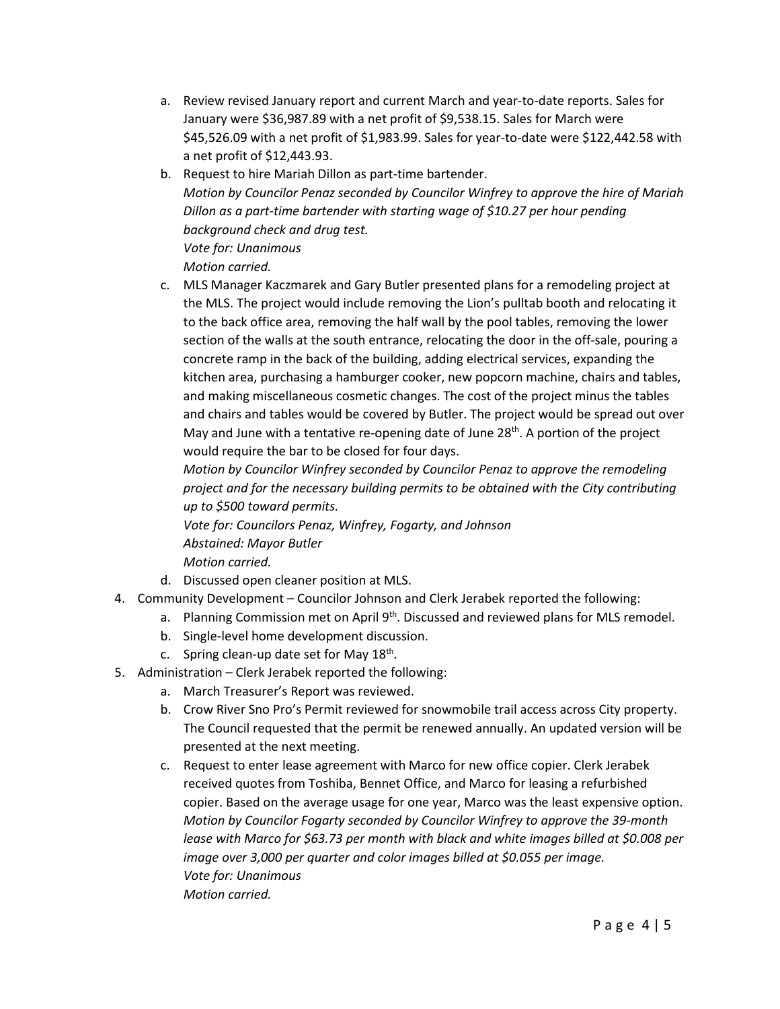- a. Review revised January report and current March and year-to-date reports. Sales for January were \$36,987.89 with a net profit of \$9,538.15. Sales for March were \$45,526.09 with a net profit of \$1,983.99. Sales for year-to-date were \$122,442.58 with a net profit of \$12,443.93.
- b. Request to hire Mariah Dillon as part-time bartender. *Motion by Councilor Penaz seconded by Councilor Winfrey to approve the hire of Mariah Dillon as a part-time bartender with starting wage of \$10.27 per hour pending background check and drug test. Vote for: Unanimous*

*Motion carried.* 

c. MLS Manager Kaczmarek and Gary Butler presented plans for a remodeling project at the MLS. The project would include removing the Lion's pulltab booth and relocating it to the back office area, removing the half wall by the pool tables, removing the lower section of the walls at the south entrance, relocating the door in the off-sale, pouring a concrete ramp in the back of the building, adding electrical services, expanding the kitchen area, purchasing a hamburger cooker, new popcorn machine, chairs and tables, and making miscellaneous cosmetic changes. The cost of the project minus the tables and chairs and tables would be covered by Butler. The project would be spread out over May and June with a tentative re-opening date of June 28<sup>th</sup>. A portion of the project would require the bar to be closed for four days.

*Motion by Councilor Winfrey seconded by Councilor Penaz to approve the remodeling project and for the necessary building permits to be obtained with the City contributing up to \$500 toward permits.*

*Vote for: Councilors Penaz, Winfrey, Fogarty, and Johnson Abstained: Mayor Butler Motion carried.* 

- d. Discussed open cleaner position at MLS.
- 4. Community Development Councilor Johnson and Clerk Jerabek reported the following:
	- a. Planning Commission met on April  $9<sup>th</sup>$ . Discussed and reviewed plans for MLS remodel.
		- b. Single-level home development discussion.
		- c. Spring clean-up date set for May  $18<sup>th</sup>$ .
- 5. Administration Clerk Jerabek reported the following:
	- a. March Treasurer's Report was reviewed.
	- b. Crow River Sno Pro's Permit reviewed for snowmobile trail access across City property. The Council requested that the permit be renewed annually. An updated version will be presented at the next meeting.
	- c. Request to enter lease agreement with Marco for new office copier. Clerk Jerabek received quotes from Toshiba, Bennet Office, and Marco for leasing a refurbished copier. Based on the average usage for one year, Marco was the least expensive option. *Motion by Councilor Fogarty seconded by Councilor Winfrey to approve the 39-month lease with Marco for \$63.73 per month with black and white images billed at \$0.008 per image over 3,000 per quarter and color images billed at \$0.055 per image. Vote for: Unanimous Motion carried.*